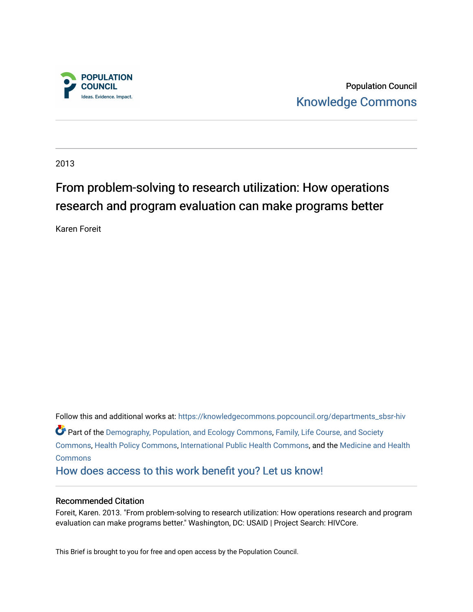

Population Council [Knowledge Commons](https://knowledgecommons.popcouncil.org/) 

2013

## From problem-solving to research utilization: How operations research and program evaluation can make programs better

Karen Foreit

Follow this and additional works at: [https://knowledgecommons.popcouncil.org/departments\\_sbsr-hiv](https://knowledgecommons.popcouncil.org/departments_sbsr-hiv?utm_source=knowledgecommons.popcouncil.org%2Fdepartments_sbsr-hiv%2F308&utm_medium=PDF&utm_campaign=PDFCoverPages) Part of the [Demography, Population, and Ecology Commons,](https://network.bepress.com/hgg/discipline/418?utm_source=knowledgecommons.popcouncil.org%2Fdepartments_sbsr-hiv%2F308&utm_medium=PDF&utm_campaign=PDFCoverPages) Family, Life Course, and Society [Commons](https://network.bepress.com/hgg/discipline/419?utm_source=knowledgecommons.popcouncil.org%2Fdepartments_sbsr-hiv%2F308&utm_medium=PDF&utm_campaign=PDFCoverPages), [Health Policy Commons](https://network.bepress.com/hgg/discipline/395?utm_source=knowledgecommons.popcouncil.org%2Fdepartments_sbsr-hiv%2F308&utm_medium=PDF&utm_campaign=PDFCoverPages), [International Public Health Commons,](https://network.bepress.com/hgg/discipline/746?utm_source=knowledgecommons.popcouncil.org%2Fdepartments_sbsr-hiv%2F308&utm_medium=PDF&utm_campaign=PDFCoverPages) and the [Medicine and Health](https://network.bepress.com/hgg/discipline/422?utm_source=knowledgecommons.popcouncil.org%2Fdepartments_sbsr-hiv%2F308&utm_medium=PDF&utm_campaign=PDFCoverPages) [Commons](https://network.bepress.com/hgg/discipline/422?utm_source=knowledgecommons.popcouncil.org%2Fdepartments_sbsr-hiv%2F308&utm_medium=PDF&utm_campaign=PDFCoverPages) [How does access to this work benefit you? Let us know!](https://pcouncil.wufoo.com/forms/open-access-to-population-council-research/)

### Recommended Citation

Foreit, Karen. 2013. "From problem-solving to research utilization: How operations research and program evaluation can make programs better." Washington, DC: USAID | Project Search: HIVCore.

This Brief is brought to you for free and open access by the Population Council.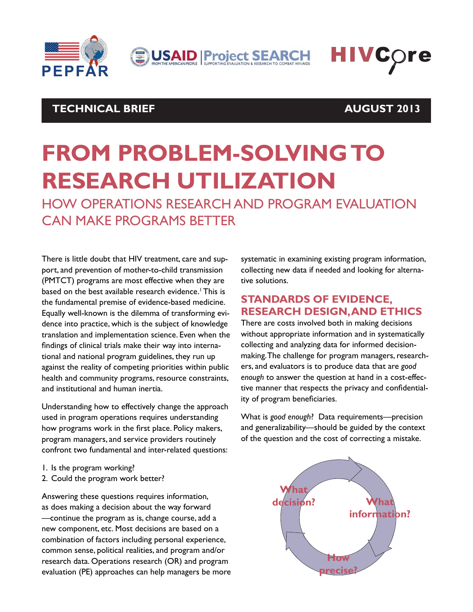

**JUSAID Project SEARCH** 



### **TECHNICAL BRIEF AUGUST 2013**

# **FROM PROBLEM-SOLVING TO RESEARCH UTILIZATION**

HOW OPERATIONS RESEARCH AND PROGRAM EVALUATION CAN MAKE PROGRAMS BETTER

There is little doubt that HIV treatment, care and support, and prevention of mother-to-child transmission (PMTCT) programs are most effective when they are based on the best available research evidence.<sup>1</sup> This is the fundamental premise of evidence-based medicine. Equally well-known is the dilemma of transforming evidence into practice, which is the subject of knowledge translation and implementation science. Even when the findings of clinical trials make their way into international and national program guidelines, they run up against the reality of competing priorities within public health and community programs, resource constraints, and institutional and human inertia.

Understanding how to effectively change the approach used in program operations requires understanding how programs work in the first place. Policy makers, program managers, and service providers routinely confront two fundamental and inter-related questions:

- 1. Is the program working?
- 2. Could the program work better?

Answering these questions requires information, as does making a decision about the way forward —continue the program as is, change course, add a new component, etc. Most decisions are based on a combination of factors including personal experience, common sense, political realities, and program and/or research data. Operations research (OR) and program evaluation (PE) approaches can help managers be more systematic in examining existing program information, collecting new data if needed and looking for alternative solutions.

### **STANDARDS OF EVIDENCE, RESEARCH DESIGN, AND ETHICS**

There are costs involved both in making decisions without appropriate information and in systematically collecting and analyzing data for informed decisionmaking. The challenge for program managers, researchers, and evaluators is to produce data that are *good enough* to answer the question at hand in a cost-effective manner that respects the privacy and confidentiality of program beneficiaries.

What is *good enough*? Data requirements—precision and generalizability—should be guided by the context of the question and the cost of correcting a mistake.

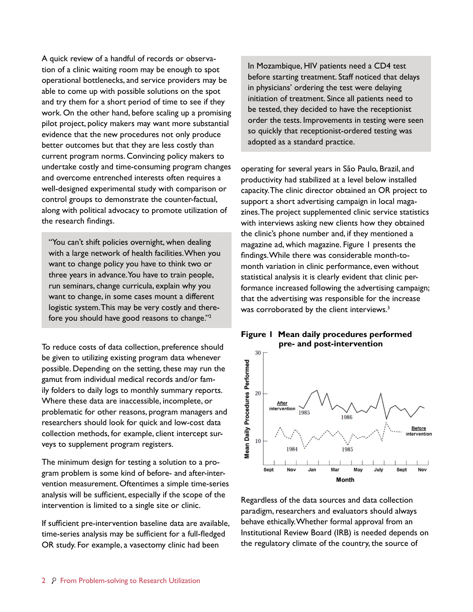A quick review of a handful of records or observation of a clinic waiting room may be enough to spot operational bottlenecks, and service providers may be able to come up with possible solutions on the spot and try them for a short period of time to see if they work. On the other hand, before scaling up a promising pilot project, policy makers may want more substantial evidence that the new procedures not only produce better outcomes but that they are less costly than current program norms. Convincing policy makers to undertake costly and time-consuming program changes and overcome entrenched interests often requires a well-designed experimental study with comparison or control groups to demonstrate the counter-factual, along with political advocacy to promote utilization of the research findings.

"You can't shift policies overnight, when dealing with a large network of health facilities. When you want to change policy you have to think two or three years in advance. You have to train people, run seminars, change curricula, explain why you want to change, in some cases mount a different logistic system. This may be very costly and therefore you should have good reasons to change."2

To reduce costs of data collection, preference should be given to utilizing existing program data whenever possible. Depending on the setting, these may run the gamut from individual medical records and/or family folders to daily logs to monthly summary reports. Where these data are inaccessible, incomplete, or problematic for other reasons, program managers and researchers should look for quick and low-cost data collection methods, for example, client intercept surveys to supplement program registers.

The minimum design for testing a solution to a program problem is some kind of before- and after-intervention measurement. Oftentimes a simple time-series analysis will be sufficient, especially if the scope of the intervention is limited to a single site or clinic.

If sufficient pre-intervention baseline data are available, time-series analysis may be sufficient for a full-fledged OR study. For example, a vasectomy clinic had been

In Mozambique, HIV patients need a CD4 test before starting treatment. Staff noticed that delays in physicians' ordering the test were delaying initiation of treatment. Since all patients need to be tested, they decided to have the receptionist order the tests. Improvements in testing were seen so quickly that receptionist-ordered testing was adopted as a standard practice.

operating for several years in São Paulo, Brazil, and productivity had stabilized at a level below installed capacity. The clinic director obtained an OR project to support a short advertising campaign in local magazines. The project supplemented clinic service statistics with interviews asking new clients how they obtained the clinic's phone number and, if they mentioned a magazine ad, which magazine. Figure 1 presents the findings. While there was considerable month-tomonth variation in clinic performance, even without statistical analysis it is clearly evident that clinic performance increased following the advertising campaign; that the advertising was responsible for the increase was corroborated by the client interviews.<sup>3</sup>





Regardless of the data sources and data collection paradigm, researchers and evaluators should always behave ethically. Whether formal approval from an Institutional Review Board (IRB) is needed depends on the regulatory climate of the country, the source of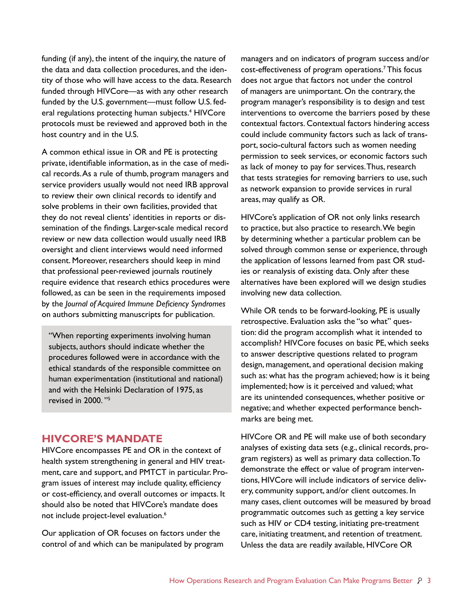funding (if any), the intent of the inquiry, the nature of the data and data collection procedures, and the identity of those who will have access to the data. Research funded through HIVCore—as with any other research funded by the U.S. government—must follow U.S. federal regulations protecting human subjects.<sup>4</sup> HIVCore protocols must be reviewed and approved both in the host country and in the U.S.

A common ethical issue in OR and PE is protecting private, identifiable information, as in the case of medical records. As a rule of thumb, program managers and service providers usually would not need IRB approval to review their own clinical records to identify and solve problems in their own facilities, provided that they do not reveal clients' identities in reports or dissemination of the findings. Larger-scale medical record review or new data collection would usually need IRB oversight and client interviews would need informed consent. Moreover, researchers should keep in mind that professional peer-reviewed journals routinely require evidence that research ethics procedures were followed, as can be seen in the requirements imposed by the *Journal of Acquired Immune Deficiency Syndromes* on authors submitting manuscripts for publication.

"When reporting experiments involving human subjects, authors should indicate whether the procedures followed were in accordance with the ethical standards of the responsible committee on human experimentation (institutional and national) and with the Helsinki Declaration of 1975, as revised in 2000. "5

### **HIVCORE'S MANDATE**

HIVCore encompasses PE and OR in the context of health system strengthening in general and HIV treatment, care and support, and PMTCT in particular. Program issues of interest may include quality, efficiency or cost-efficiency, and overall outcomes or impacts. It should also be noted that HIVCore's mandate does not include project-level evaluation.<sup>6</sup>

Our application of OR focuses on factors under the control of and which can be manipulated by program managers and on indicators of program success and/or cost-effectiveness of program operations.7 This focus does not argue that factors not under the control of managers are unimportant. On the contrary, the program manager's responsibility is to design and test interventions to overcome the barriers posed by these contextual factors. Contextual factors hindering access could include community factors such as lack of transport, socio-cultural factors such as women needing permission to seek services, or economic factors such as lack of money to pay for services. Thus, research that tests strategies for removing barriers to use, such as network expansion to provide services in rural areas, may qualify as OR.

HIVCore's application of OR not only links research to practice, but also practice to research. We begin by determining whether a particular problem can be solved through common sense or experience, through the application of lessons learned from past OR studies or reanalysis of existing data. Only after these alternatives have been explored will we design studies involving new data collection.

While OR tends to be forward-looking, PE is usually retrospective. Evaluation asks the "so what" question: did the program accomplish what it intended to accomplish? HIVCore focuses on basic PE, which seeks to answer descriptive questions related to program design, management, and operational decision making such as: what has the program achieved; how is it being implemented; how is it perceived and valued; what are its unintended consequences, whether positive or negative; and whether expected performance benchmarks are being met.

HIVCore OR and PE will make use of both secondary analyses of existing data sets (e.g., clinical records, program registers) as well as primary data collection. To demonstrate the effect or value of program interventions, HIVCore will include indicators of service delivery, community support, and/or client outcomes. In many cases, client outcomes will be measured by broad programmatic outcomes such as getting a key service such as HIV or CD4 testing, initiating pre-treatment care, initiating treatment, and retention of treatment. Unless the data are readily available, HIVCore OR